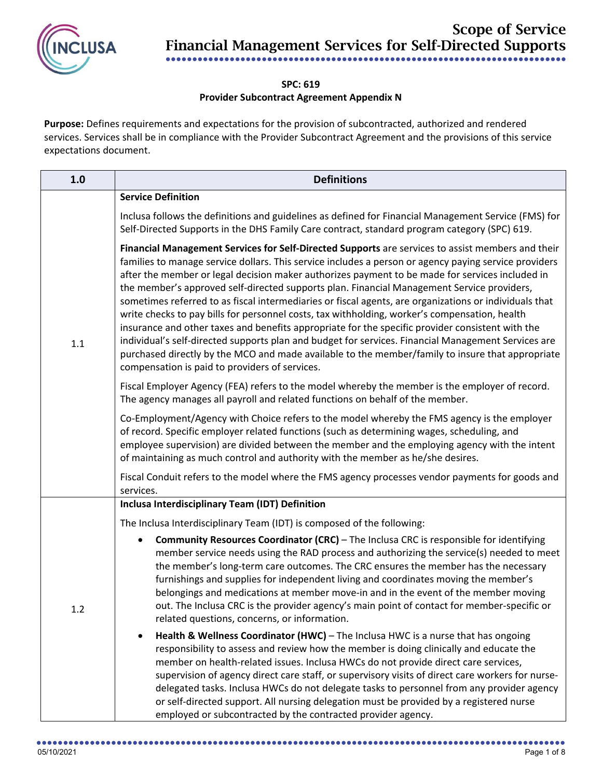

## **SPC: 619**

## **Provider Subcontract Agreement Appendix N**

**Purpose:** Defines requirements and expectations for the provision of subcontracted, authorized and rendered services. Services shall be in compliance with the Provider Subcontract Agreement and the provisions of this service expectations document.

| 1.0 | <b>Definitions</b>                                                                                                                                                                                                                                                                                                                                                                                                                                                                                                                                                                                                                                                                                                                                                                                                                                                                                                                                                                      |
|-----|-----------------------------------------------------------------------------------------------------------------------------------------------------------------------------------------------------------------------------------------------------------------------------------------------------------------------------------------------------------------------------------------------------------------------------------------------------------------------------------------------------------------------------------------------------------------------------------------------------------------------------------------------------------------------------------------------------------------------------------------------------------------------------------------------------------------------------------------------------------------------------------------------------------------------------------------------------------------------------------------|
|     | <b>Service Definition</b>                                                                                                                                                                                                                                                                                                                                                                                                                                                                                                                                                                                                                                                                                                                                                                                                                                                                                                                                                               |
| 1.1 | Inclusa follows the definitions and guidelines as defined for Financial Management Service (FMS) for<br>Self-Directed Supports in the DHS Family Care contract, standard program category (SPC) 619.                                                                                                                                                                                                                                                                                                                                                                                                                                                                                                                                                                                                                                                                                                                                                                                    |
|     | Financial Management Services for Self-Directed Supports are services to assist members and their<br>families to manage service dollars. This service includes a person or agency paying service providers<br>after the member or legal decision maker authorizes payment to be made for services included in<br>the member's approved self-directed supports plan. Financial Management Service providers,<br>sometimes referred to as fiscal intermediaries or fiscal agents, are organizations or individuals that<br>write checks to pay bills for personnel costs, tax withholding, worker's compensation, health<br>insurance and other taxes and benefits appropriate for the specific provider consistent with the<br>individual's self-directed supports plan and budget for services. Financial Management Services are<br>purchased directly by the MCO and made available to the member/family to insure that appropriate<br>compensation is paid to providers of services. |
|     | Fiscal Employer Agency (FEA) refers to the model whereby the member is the employer of record.<br>The agency manages all payroll and related functions on behalf of the member.                                                                                                                                                                                                                                                                                                                                                                                                                                                                                                                                                                                                                                                                                                                                                                                                         |
|     | Co-Employment/Agency with Choice refers to the model whereby the FMS agency is the employer<br>of record. Specific employer related functions (such as determining wages, scheduling, and<br>employee supervision) are divided between the member and the employing agency with the intent<br>of maintaining as much control and authority with the member as he/she desires.                                                                                                                                                                                                                                                                                                                                                                                                                                                                                                                                                                                                           |
|     | Fiscal Conduit refers to the model where the FMS agency processes vendor payments for goods and<br>services.                                                                                                                                                                                                                                                                                                                                                                                                                                                                                                                                                                                                                                                                                                                                                                                                                                                                            |
|     | Inclusa Interdisciplinary Team (IDT) Definition                                                                                                                                                                                                                                                                                                                                                                                                                                                                                                                                                                                                                                                                                                                                                                                                                                                                                                                                         |
|     | The Inclusa Interdisciplinary Team (IDT) is composed of the following:                                                                                                                                                                                                                                                                                                                                                                                                                                                                                                                                                                                                                                                                                                                                                                                                                                                                                                                  |
| 1.2 | <b>Community Resources Coordinator (CRC)</b> – The Inclusa CRC is responsible for identifying<br>member service needs using the RAD process and authorizing the service(s) needed to meet<br>the member's long-term care outcomes. The CRC ensures the member has the necessary<br>furnishings and supplies for independent living and coordinates moving the member's<br>belongings and medications at member move-in and in the event of the member moving<br>out. The Inclusa CRC is the provider agency's main point of contact for member-specific or<br>related questions, concerns, or information.                                                                                                                                                                                                                                                                                                                                                                              |
|     | Health & Wellness Coordinator (HWC) - The Inclusa HWC is a nurse that has ongoing<br>responsibility to assess and review how the member is doing clinically and educate the<br>member on health-related issues. Inclusa HWCs do not provide direct care services,<br>supervision of agency direct care staff, or supervisory visits of direct care workers for nurse-<br>delegated tasks. Inclusa HWCs do not delegate tasks to personnel from any provider agency<br>or self-directed support. All nursing delegation must be provided by a registered nurse<br>employed or subcontracted by the contracted provider agency.                                                                                                                                                                                                                                                                                                                                                           |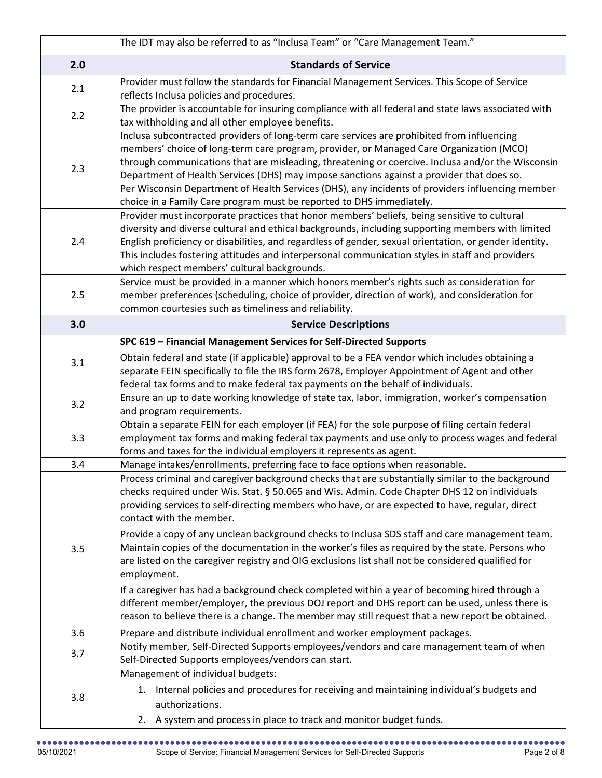|     | The IDT may also be referred to as "Inclusa Team" or "Care Management Team."                                                                                                                                                                                                                                                                                                                                                                                                                                                                                                                                                                                                                                                                                 |
|-----|--------------------------------------------------------------------------------------------------------------------------------------------------------------------------------------------------------------------------------------------------------------------------------------------------------------------------------------------------------------------------------------------------------------------------------------------------------------------------------------------------------------------------------------------------------------------------------------------------------------------------------------------------------------------------------------------------------------------------------------------------------------|
| 2.0 | <b>Standards of Service</b>                                                                                                                                                                                                                                                                                                                                                                                                                                                                                                                                                                                                                                                                                                                                  |
| 2.1 | Provider must follow the standards for Financial Management Services. This Scope of Service<br>reflects Inclusa policies and procedures.                                                                                                                                                                                                                                                                                                                                                                                                                                                                                                                                                                                                                     |
| 2.2 | The provider is accountable for insuring compliance with all federal and state laws associated with<br>tax withholding and all other employee benefits.                                                                                                                                                                                                                                                                                                                                                                                                                                                                                                                                                                                                      |
| 2.3 | Inclusa subcontracted providers of long-term care services are prohibited from influencing<br>members' choice of long-term care program, provider, or Managed Care Organization (MCO)<br>through communications that are misleading, threatening or coercive. Inclusa and/or the Wisconsin<br>Department of Health Services (DHS) may impose sanctions against a provider that does so.<br>Per Wisconsin Department of Health Services (DHS), any incidents of providers influencing member<br>choice in a Family Care program must be reported to DHS immediately.                                                                                                                                                                                          |
| 2.4 | Provider must incorporate practices that honor members' beliefs, being sensitive to cultural<br>diversity and diverse cultural and ethical backgrounds, including supporting members with limited<br>English proficiency or disabilities, and regardless of gender, sexual orientation, or gender identity.<br>This includes fostering attitudes and interpersonal communication styles in staff and providers<br>which respect members' cultural backgrounds.                                                                                                                                                                                                                                                                                               |
| 2.5 | Service must be provided in a manner which honors member's rights such as consideration for<br>member preferences (scheduling, choice of provider, direction of work), and consideration for<br>common courtesies such as timeliness and reliability.                                                                                                                                                                                                                                                                                                                                                                                                                                                                                                        |
| 3.0 | <b>Service Descriptions</b>                                                                                                                                                                                                                                                                                                                                                                                                                                                                                                                                                                                                                                                                                                                                  |
|     | SPC 619 - Financial Management Services for Self-Directed Supports                                                                                                                                                                                                                                                                                                                                                                                                                                                                                                                                                                                                                                                                                           |
| 3.1 | Obtain federal and state (if applicable) approval to be a FEA vendor which includes obtaining a<br>separate FEIN specifically to file the IRS form 2678, Employer Appointment of Agent and other<br>federal tax forms and to make federal tax payments on the behalf of individuals.                                                                                                                                                                                                                                                                                                                                                                                                                                                                         |
| 3.2 | Ensure an up to date working knowledge of state tax, labor, immigration, worker's compensation<br>and program requirements.                                                                                                                                                                                                                                                                                                                                                                                                                                                                                                                                                                                                                                  |
| 3.3 | Obtain a separate FEIN for each employer (if FEA) for the sole purpose of filing certain federal<br>employment tax forms and making federal tax payments and use only to process wages and federal<br>forms and taxes for the individual employers it represents as agent.                                                                                                                                                                                                                                                                                                                                                                                                                                                                                   |
| 3.4 | Manage intakes/enrollments, preferring face to face options when reasonable.                                                                                                                                                                                                                                                                                                                                                                                                                                                                                                                                                                                                                                                                                 |
| 3.5 | Process criminal and caregiver background checks that are substantially similar to the background<br>checks required under Wis. Stat. § 50.065 and Wis. Admin. Code Chapter DHS 12 on individuals<br>providing services to self-directing members who have, or are expected to have, regular, direct<br>contact with the member.<br>Provide a copy of any unclean background checks to Inclusa SDS staff and care management team.<br>Maintain copies of the documentation in the worker's files as required by the state. Persons who<br>are listed on the caregiver registry and OIG exclusions list shall not be considered qualified for<br>employment.<br>If a caregiver has had a background check completed within a year of becoming hired through a |
|     | different member/employer, the previous DOJ report and DHS report can be used, unless there is<br>reason to believe there is a change. The member may still request that a new report be obtained.                                                                                                                                                                                                                                                                                                                                                                                                                                                                                                                                                           |
| 3.6 | Prepare and distribute individual enrollment and worker employment packages.                                                                                                                                                                                                                                                                                                                                                                                                                                                                                                                                                                                                                                                                                 |
| 3.7 | Notify member, Self-Directed Supports employees/vendors and care management team of when<br>Self-Directed Supports employees/vendors can start.                                                                                                                                                                                                                                                                                                                                                                                                                                                                                                                                                                                                              |
| 3.8 | Management of individual budgets:<br>1. Internal policies and procedures for receiving and maintaining individual's budgets and<br>authorizations.<br>2. A system and process in place to track and monitor budget funds.                                                                                                                                                                                                                                                                                                                                                                                                                                                                                                                                    |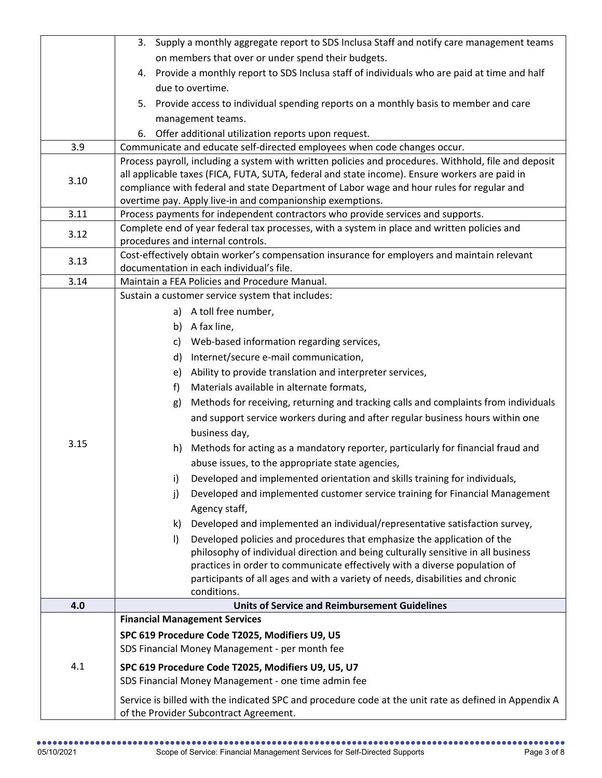|      | 3. Supply a monthly aggregate report to SDS Inclusa Staff and notify care management teams                                                   |
|------|----------------------------------------------------------------------------------------------------------------------------------------------|
|      | on members that over or under spend their budgets.                                                                                           |
|      | 4. Provide a monthly report to SDS Inclusa staff of individuals who are paid at time and half                                                |
|      | due to overtime.                                                                                                                             |
|      | Provide access to individual spending reports on a monthly basis to member and care<br>5.                                                    |
|      | management teams.                                                                                                                            |
|      | Offer additional utilization reports upon request.<br>6.                                                                                     |
| 3.9  | Communicate and educate self-directed employees when code changes occur.                                                                     |
|      | Process payroll, including a system with written policies and procedures. Withhold, file and deposit                                         |
| 3.10 | all applicable taxes (FICA, FUTA, SUTA, federal and state income). Ensure workers are paid in                                                |
|      | compliance with federal and state Department of Labor wage and hour rules for regular and                                                    |
| 3.11 | overtime pay. Apply live-in and companionship exemptions.<br>Process payments for independent contractors who provide services and supports. |
|      | Complete end of year federal tax processes, with a system in place and written policies and                                                  |
| 3.12 | procedures and internal controls.                                                                                                            |
|      | Cost-effectively obtain worker's compensation insurance for employers and maintain relevant                                                  |
| 3.13 | documentation in each individual's file.                                                                                                     |
| 3.14 | Maintain a FEA Policies and Procedure Manual.                                                                                                |
|      | Sustain a customer service system that includes:                                                                                             |
|      | a) A toll free number,                                                                                                                       |
|      | b) A fax line,                                                                                                                               |
|      | c) Web-based information regarding services,                                                                                                 |
|      | d) Internet/secure e-mail communication,                                                                                                     |
|      | e) Ability to provide translation and interpreter services,                                                                                  |
|      | Materials available in alternate formats,<br>f)                                                                                              |
|      | Methods for receiving, returning and tracking calls and complaints from individuals<br>g)                                                    |
|      | and support service workers during and after regular business hours within one                                                               |
|      | business day,                                                                                                                                |
| 3.15 | h) Methods for acting as a mandatory reporter, particularly for financial fraud and                                                          |
|      | abuse issues, to the appropriate state agencies,                                                                                             |
|      | Developed and implemented orientation and skills training for individuals,<br>i)                                                             |
|      | Developed and implemented customer service training for Financial Management<br>$\mathbf{j}$                                                 |
|      | Agency staff,                                                                                                                                |
|      | Developed and implemented an individual/representative satisfaction survey,<br>k)                                                            |
|      | Developed policies and procedures that emphasize the application of the<br>$\vert$                                                           |
|      | philosophy of individual direction and being culturally sensitive in all business                                                            |
|      | practices in order to communicate effectively with a diverse population of                                                                   |
|      | participants of all ages and with a variety of needs, disabilities and chronic                                                               |
| 4.0  | conditions.<br><b>Units of Service and Reimbursement Guidelines</b>                                                                          |
|      | <b>Financial Management Services</b>                                                                                                         |
|      | SPC 619 Procedure Code T2025, Modifiers U9, U5                                                                                               |
|      | SDS Financial Money Management - per month fee                                                                                               |
|      |                                                                                                                                              |
| 4.1  | SPC 619 Procedure Code T2025, Modifiers U9, U5, U7<br>SDS Financial Money Management - one time admin fee                                    |
|      |                                                                                                                                              |
|      | Service is billed with the indicated SPC and procedure code at the unit rate as defined in Appendix A                                        |
|      | of the Provider Subcontract Agreement.                                                                                                       |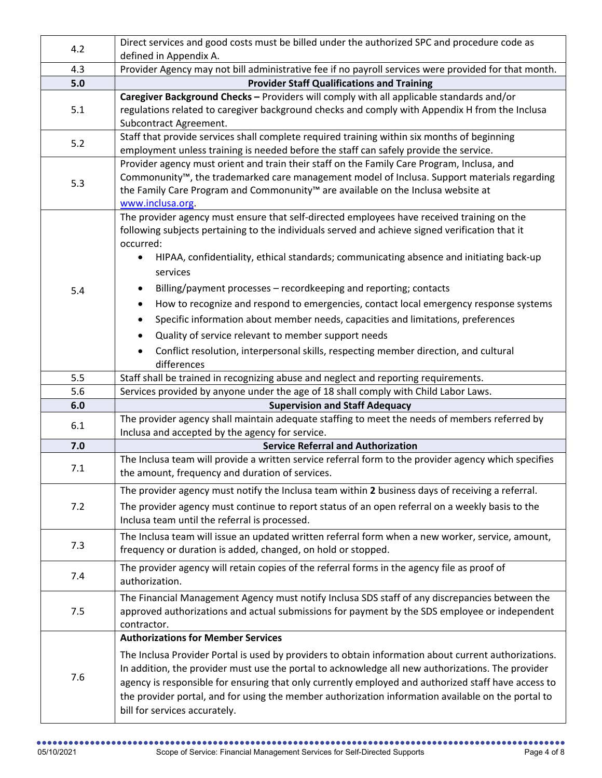| 4.2   | Direct services and good costs must be billed under the authorized SPC and procedure code as                                                                                         |
|-------|--------------------------------------------------------------------------------------------------------------------------------------------------------------------------------------|
|       | defined in Appendix A.                                                                                                                                                               |
| 4.3   | Provider Agency may not bill administrative fee if no payroll services were provided for that month.                                                                                 |
| $5.0$ | <b>Provider Staff Qualifications and Training</b>                                                                                                                                    |
| 5.1   | Caregiver Background Checks - Providers will comply with all applicable standards and/or                                                                                             |
|       | regulations related to caregiver background checks and comply with Appendix H from the Inclusa                                                                                       |
|       | Subcontract Agreement.                                                                                                                                                               |
| 5.2   | Staff that provide services shall complete required training within six months of beginning<br>employment unless training is needed before the staff can safely provide the service. |
|       | Provider agency must orient and train their staff on the Family Care Program, Inclusa, and                                                                                           |
| 5.3   | Commonunity <sup>™</sup> , the trademarked care management model of Inclusa. Support materials regarding                                                                             |
|       | the Family Care Program and Commonunity™ are available on the Inclusa website at                                                                                                     |
|       | www.inclusa.org.                                                                                                                                                                     |
|       | The provider agency must ensure that self-directed employees have received training on the                                                                                           |
|       | following subjects pertaining to the individuals served and achieve signed verification that it                                                                                      |
|       | occurred:                                                                                                                                                                            |
|       | HIPAA, confidentiality, ethical standards; communicating absence and initiating back-up<br>$\bullet$                                                                                 |
|       | services                                                                                                                                                                             |
| 5.4   | Billing/payment processes - recordkeeping and reporting; contacts<br>$\bullet$                                                                                                       |
|       | How to recognize and respond to emergencies, contact local emergency response systems<br>$\bullet$                                                                                   |
|       | Specific information about member needs, capacities and limitations, preferences<br>٠                                                                                                |
|       | Quality of service relevant to member support needs<br>٠                                                                                                                             |
|       | Conflict resolution, interpersonal skills, respecting member direction, and cultural<br>$\bullet$                                                                                    |
|       | differences                                                                                                                                                                          |
| 5.5   | Staff shall be trained in recognizing abuse and neglect and reporting requirements.                                                                                                  |
| 5.6   | Services provided by anyone under the age of 18 shall comply with Child Labor Laws.                                                                                                  |
| 6.0   | <b>Supervision and Staff Adequacy</b>                                                                                                                                                |
| 6.1   | The provider agency shall maintain adequate staffing to meet the needs of members referred by                                                                                        |
|       | Inclusa and accepted by the agency for service.                                                                                                                                      |
| 7.0   | <b>Service Referral and Authorization</b>                                                                                                                                            |
| 7.1   | The Inclusa team will provide a written service referral form to the provider agency which specifies                                                                                 |
|       | the amount, frequency and duration of services.                                                                                                                                      |
|       | The provider agency must notify the Inclusa team within 2 business days of receiving a referral.                                                                                     |
| 7.2   | The provider agency must continue to report status of an open referral on a weekly basis to the                                                                                      |
|       | Inclusa team until the referral is processed.                                                                                                                                        |
| 7.3   | The Inclusa team will issue an updated written referral form when a new worker, service, amount,                                                                                     |
|       | frequency or duration is added, changed, on hold or stopped.                                                                                                                         |
| 7.4   | The provider agency will retain copies of the referral forms in the agency file as proof of                                                                                          |
|       | authorization.                                                                                                                                                                       |
|       | The Financial Management Agency must notify Inclusa SDS staff of any discrepancies between the                                                                                       |
| 7.5   | approved authorizations and actual submissions for payment by the SDS employee or independent                                                                                        |
|       | contractor.                                                                                                                                                                          |
|       | <b>Authorizations for Member Services</b>                                                                                                                                            |
| 7.6   | The Inclusa Provider Portal is used by providers to obtain information about current authorizations.                                                                                 |
|       | In addition, the provider must use the portal to acknowledge all new authorizations. The provider                                                                                    |
|       | agency is responsible for ensuring that only currently employed and authorized staff have access to                                                                                  |
|       |                                                                                                                                                                                      |
|       | bill for services accurately.                                                                                                                                                        |
|       | the provider portal, and for using the member authorization information available on the portal to                                                                                   |
|       |                                                                                                                                                                                      |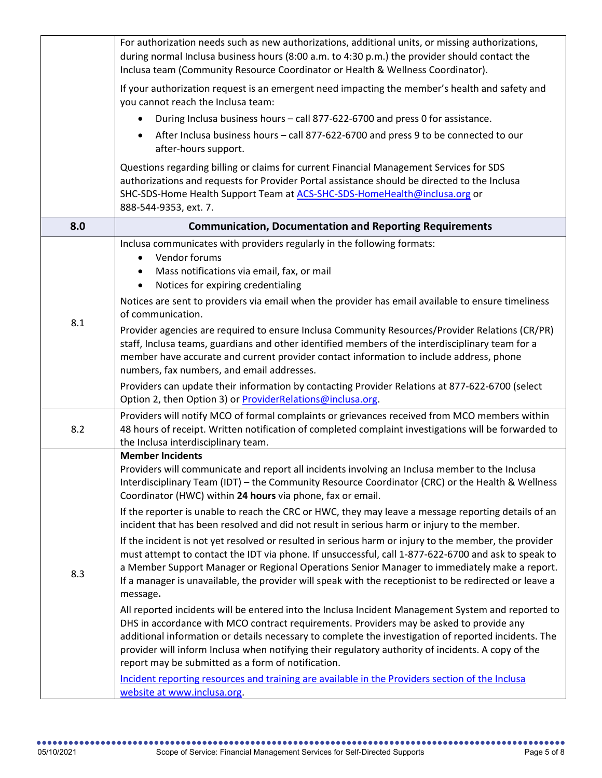|     | For authorization needs such as new authorizations, additional units, or missing authorizations,<br>during normal Inclusa business hours (8:00 a.m. to 4:30 p.m.) the provider should contact the<br>Inclusa team (Community Resource Coordinator or Health & Wellness Coordinator).                                                                                                                                                                              |
|-----|-------------------------------------------------------------------------------------------------------------------------------------------------------------------------------------------------------------------------------------------------------------------------------------------------------------------------------------------------------------------------------------------------------------------------------------------------------------------|
|     | If your authorization request is an emergent need impacting the member's health and safety and<br>you cannot reach the Inclusa team:                                                                                                                                                                                                                                                                                                                              |
|     | During Inclusa business hours - call 877-622-6700 and press 0 for assistance.                                                                                                                                                                                                                                                                                                                                                                                     |
|     | After Inclusa business hours - call 877-622-6700 and press 9 to be connected to our<br>after-hours support.                                                                                                                                                                                                                                                                                                                                                       |
|     | Questions regarding billing or claims for current Financial Management Services for SDS<br>authorizations and requests for Provider Portal assistance should be directed to the Inclusa<br>SHC-SDS-Home Health Support Team at ACS-SHC-SDS-HomeHealth@inclusa.org or<br>888-544-9353, ext. 7.                                                                                                                                                                     |
| 8.0 | <b>Communication, Documentation and Reporting Requirements</b>                                                                                                                                                                                                                                                                                                                                                                                                    |
|     | Inclusa communicates with providers regularly in the following formats:<br>Vendor forums<br>$\bullet$<br>Mass notifications via email, fax, or mail<br>$\bullet$<br>Notices for expiring credentialing<br>$\bullet$                                                                                                                                                                                                                                               |
|     | Notices are sent to providers via email when the provider has email available to ensure timeliness<br>of communication.                                                                                                                                                                                                                                                                                                                                           |
| 8.1 | Provider agencies are required to ensure Inclusa Community Resources/Provider Relations (CR/PR)<br>staff, Inclusa teams, guardians and other identified members of the interdisciplinary team for a<br>member have accurate and current provider contact information to include address, phone<br>numbers, fax numbers, and email addresses.                                                                                                                      |
|     | Providers can update their information by contacting Provider Relations at 877-622-6700 (select<br>Option 2, then Option 3) or ProviderRelations@inclusa.org.                                                                                                                                                                                                                                                                                                     |
| 8.2 | Providers will notify MCO of formal complaints or grievances received from MCO members within<br>48 hours of receipt. Written notification of completed complaint investigations will be forwarded to<br>the Inclusa interdisciplinary team.                                                                                                                                                                                                                      |
|     | <b>Member Incidents</b><br>Providers will communicate and report all incidents involving an Inclusa member to the Inclusa<br>Interdisciplinary Team (IDT) - the Community Resource Coordinator (CRC) or the Health & Wellness<br>Coordinator (HWC) within 24 hours via phone, fax or email.                                                                                                                                                                       |
|     | If the reporter is unable to reach the CRC or HWC, they may leave a message reporting details of an<br>incident that has been resolved and did not result in serious harm or injury to the member.                                                                                                                                                                                                                                                                |
| 8.3 | If the incident is not yet resolved or resulted in serious harm or injury to the member, the provider<br>must attempt to contact the IDT via phone. If unsuccessful, call 1-877-622-6700 and ask to speak to<br>a Member Support Manager or Regional Operations Senior Manager to immediately make a report.<br>If a manager is unavailable, the provider will speak with the receptionist to be redirected or leave a<br>message.                                |
|     | All reported incidents will be entered into the Inclusa Incident Management System and reported to<br>DHS in accordance with MCO contract requirements. Providers may be asked to provide any<br>additional information or details necessary to complete the investigation of reported incidents. The<br>provider will inform Inclusa when notifying their regulatory authority of incidents. A copy of the<br>report may be submitted as a form of notification. |
|     | Incident reporting resources and training are available in the Providers section of the Inclusa<br>website at www.inclusa.org.                                                                                                                                                                                                                                                                                                                                    |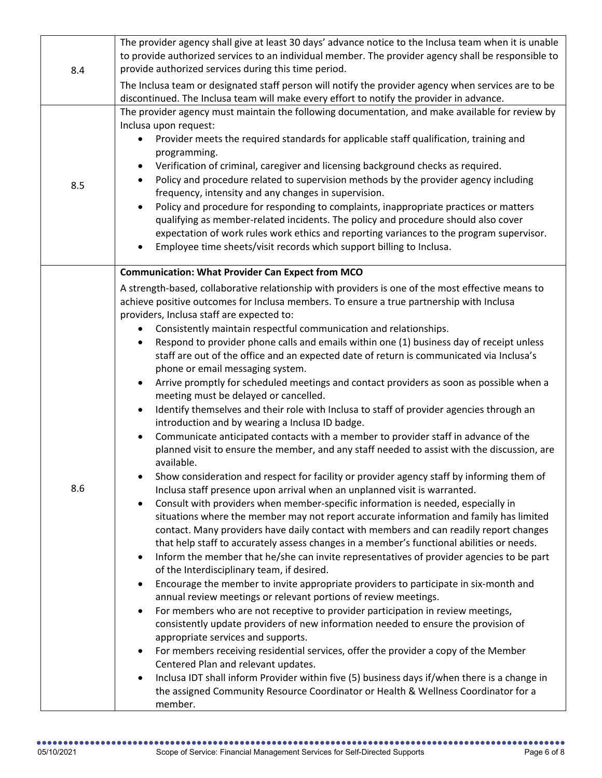| 8.4 | The provider agency shall give at least 30 days' advance notice to the Inclusa team when it is unable<br>to provide authorized services to an individual member. The provider agency shall be responsible to<br>provide authorized services during this time period.                                                                                                                                                                                                                                                                                                                                                                                                                                                                                                                                                                                                                                                                                                                                                                                                                                                                                                                                                                                                                                                                                                                                                                                                                                                                                                                                                                                                                                                                                                                                                                                                                                                                                                                                                                                                                                                                                                                                                                                                                                                                                                                                                                                                                                        |
|-----|-------------------------------------------------------------------------------------------------------------------------------------------------------------------------------------------------------------------------------------------------------------------------------------------------------------------------------------------------------------------------------------------------------------------------------------------------------------------------------------------------------------------------------------------------------------------------------------------------------------------------------------------------------------------------------------------------------------------------------------------------------------------------------------------------------------------------------------------------------------------------------------------------------------------------------------------------------------------------------------------------------------------------------------------------------------------------------------------------------------------------------------------------------------------------------------------------------------------------------------------------------------------------------------------------------------------------------------------------------------------------------------------------------------------------------------------------------------------------------------------------------------------------------------------------------------------------------------------------------------------------------------------------------------------------------------------------------------------------------------------------------------------------------------------------------------------------------------------------------------------------------------------------------------------------------------------------------------------------------------------------------------------------------------------------------------------------------------------------------------------------------------------------------------------------------------------------------------------------------------------------------------------------------------------------------------------------------------------------------------------------------------------------------------------------------------------------------------------------------------------------------------|
|     | The Inclusa team or designated staff person will notify the provider agency when services are to be<br>discontinued. The Inclusa team will make every effort to notify the provider in advance.                                                                                                                                                                                                                                                                                                                                                                                                                                                                                                                                                                                                                                                                                                                                                                                                                                                                                                                                                                                                                                                                                                                                                                                                                                                                                                                                                                                                                                                                                                                                                                                                                                                                                                                                                                                                                                                                                                                                                                                                                                                                                                                                                                                                                                                                                                             |
| 8.5 | The provider agency must maintain the following documentation, and make available for review by<br>Inclusa upon request:<br>Provider meets the required standards for applicable staff qualification, training and<br>$\bullet$<br>programming.<br>Verification of criminal, caregiver and licensing background checks as required.<br>Policy and procedure related to supervision methods by the provider agency including<br>$\bullet$<br>frequency, intensity and any changes in supervision.<br>Policy and procedure for responding to complaints, inappropriate practices or matters<br>qualifying as member-related incidents. The policy and procedure should also cover<br>expectation of work rules work ethics and reporting variances to the program supervisor.<br>Employee time sheets/visit records which support billing to Inclusa.                                                                                                                                                                                                                                                                                                                                                                                                                                                                                                                                                                                                                                                                                                                                                                                                                                                                                                                                                                                                                                                                                                                                                                                                                                                                                                                                                                                                                                                                                                                                                                                                                                                         |
|     | <b>Communication: What Provider Can Expect from MCO</b>                                                                                                                                                                                                                                                                                                                                                                                                                                                                                                                                                                                                                                                                                                                                                                                                                                                                                                                                                                                                                                                                                                                                                                                                                                                                                                                                                                                                                                                                                                                                                                                                                                                                                                                                                                                                                                                                                                                                                                                                                                                                                                                                                                                                                                                                                                                                                                                                                                                     |
| 8.6 | A strength-based, collaborative relationship with providers is one of the most effective means to<br>achieve positive outcomes for Inclusa members. To ensure a true partnership with Inclusa<br>providers, Inclusa staff are expected to:<br>Consistently maintain respectful communication and relationships.<br>$\bullet$<br>Respond to provider phone calls and emails within one (1) business day of receipt unless<br>٠<br>staff are out of the office and an expected date of return is communicated via Inclusa's<br>phone or email messaging system.<br>Arrive promptly for scheduled meetings and contact providers as soon as possible when a<br>meeting must be delayed or cancelled.<br>Identify themselves and their role with Inclusa to staff of provider agencies through an<br>$\bullet$<br>introduction and by wearing a Inclusa ID badge.<br>Communicate anticipated contacts with a member to provider staff in advance of the<br>planned visit to ensure the member, and any staff needed to assist with the discussion, are<br>available.<br>Show consideration and respect for facility or provider agency staff by informing them of<br>Inclusa staff presence upon arrival when an unplanned visit is warranted.<br>Consult with providers when member-specific information is needed, especially in<br>situations where the member may not report accurate information and family has limited<br>contact. Many providers have daily contact with members and can readily report changes<br>that help staff to accurately assess changes in a member's functional abilities or needs.<br>Inform the member that he/she can invite representatives of provider agencies to be part<br>$\bullet$<br>of the Interdisciplinary team, if desired.<br>Encourage the member to invite appropriate providers to participate in six-month and<br>$\bullet$<br>annual review meetings or relevant portions of review meetings.<br>For members who are not receptive to provider participation in review meetings,<br>$\bullet$<br>consistently update providers of new information needed to ensure the provision of<br>appropriate services and supports.<br>For members receiving residential services, offer the provider a copy of the Member<br>$\bullet$<br>Centered Plan and relevant updates.<br>Inclusa IDT shall inform Provider within five (5) business days if/when there is a change in<br>the assigned Community Resource Coordinator or Health & Wellness Coordinator for a |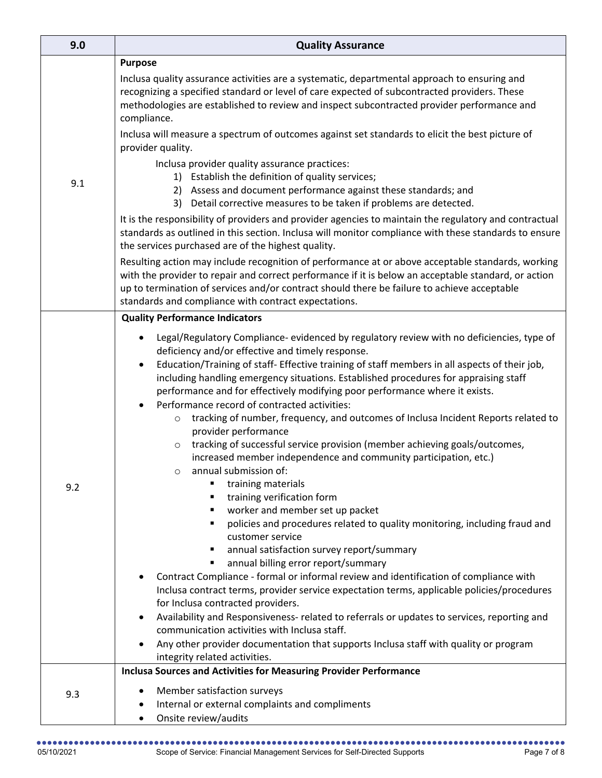| 9.0 | <b>Quality Assurance</b>                                                                                                                                                                                                                                                                                                                                                                                                                                                                                                                                                                                                                                                                                                                                                                                                                                         |
|-----|------------------------------------------------------------------------------------------------------------------------------------------------------------------------------------------------------------------------------------------------------------------------------------------------------------------------------------------------------------------------------------------------------------------------------------------------------------------------------------------------------------------------------------------------------------------------------------------------------------------------------------------------------------------------------------------------------------------------------------------------------------------------------------------------------------------------------------------------------------------|
| 9.1 | <b>Purpose</b>                                                                                                                                                                                                                                                                                                                                                                                                                                                                                                                                                                                                                                                                                                                                                                                                                                                   |
|     | Inclusa quality assurance activities are a systematic, departmental approach to ensuring and<br>recognizing a specified standard or level of care expected of subcontracted providers. These<br>methodologies are established to review and inspect subcontracted provider performance and<br>compliance.                                                                                                                                                                                                                                                                                                                                                                                                                                                                                                                                                        |
|     | Inclusa will measure a spectrum of outcomes against set standards to elicit the best picture of<br>provider quality.                                                                                                                                                                                                                                                                                                                                                                                                                                                                                                                                                                                                                                                                                                                                             |
|     | Inclusa provider quality assurance practices:<br>1) Establish the definition of quality services;<br>2) Assess and document performance against these standards; and<br>Detail corrective measures to be taken if problems are detected.<br>3)                                                                                                                                                                                                                                                                                                                                                                                                                                                                                                                                                                                                                   |
|     | It is the responsibility of providers and provider agencies to maintain the regulatory and contractual<br>standards as outlined in this section. Inclusa will monitor compliance with these standards to ensure<br>the services purchased are of the highest quality.                                                                                                                                                                                                                                                                                                                                                                                                                                                                                                                                                                                            |
|     | Resulting action may include recognition of performance at or above acceptable standards, working<br>with the provider to repair and correct performance if it is below an acceptable standard, or action<br>up to termination of services and/or contract should there be failure to achieve acceptable<br>standards and compliance with contract expectations.                                                                                                                                                                                                                                                                                                                                                                                                                                                                                                 |
|     | <b>Quality Performance Indicators</b>                                                                                                                                                                                                                                                                                                                                                                                                                                                                                                                                                                                                                                                                                                                                                                                                                            |
| 9.2 | Legal/Regulatory Compliance- evidenced by regulatory review with no deficiencies, type of<br>deficiency and/or effective and timely response.<br>Education/Training of staff- Effective training of staff members in all aspects of their job,<br>$\bullet$<br>including handling emergency situations. Established procedures for appraising staff<br>performance and for effectively modifying poor performance where it exists.<br>Performance record of contracted activities:<br>tracking of number, frequency, and outcomes of Inclusa Incident Reports related to<br>$\circ$<br>provider performance<br>tracking of successful service provision (member achieving goals/outcomes,<br>$\circ$<br>increased member independence and community participation, etc.)<br>annual submission of:<br>$\circ$<br>training materials<br>training verification form |
|     | worker and member set up packet<br>policies and procedures related to quality monitoring, including fraud and<br>٠<br>customer service<br>annual satisfaction survey report/summary<br>٠<br>annual billing error report/summary<br>Contract Compliance - formal or informal review and identification of compliance with<br>Inclusa contract terms, provider service expectation terms, applicable policies/procedures<br>for Inclusa contracted providers.<br>Availability and Responsiveness- related to referrals or updates to services, reporting and<br>communication activities with Inclusa staff.<br>Any other provider documentation that supports Inclusa staff with quality or program<br>integrity related activities.<br><b>Inclusa Sources and Activities for Measuring Provider Performance</b>                                                  |
| 9.3 | Member satisfaction surveys<br>Internal or external complaints and compliments<br>Onsite review/audits<br>$\bullet$                                                                                                                                                                                                                                                                                                                                                                                                                                                                                                                                                                                                                                                                                                                                              |